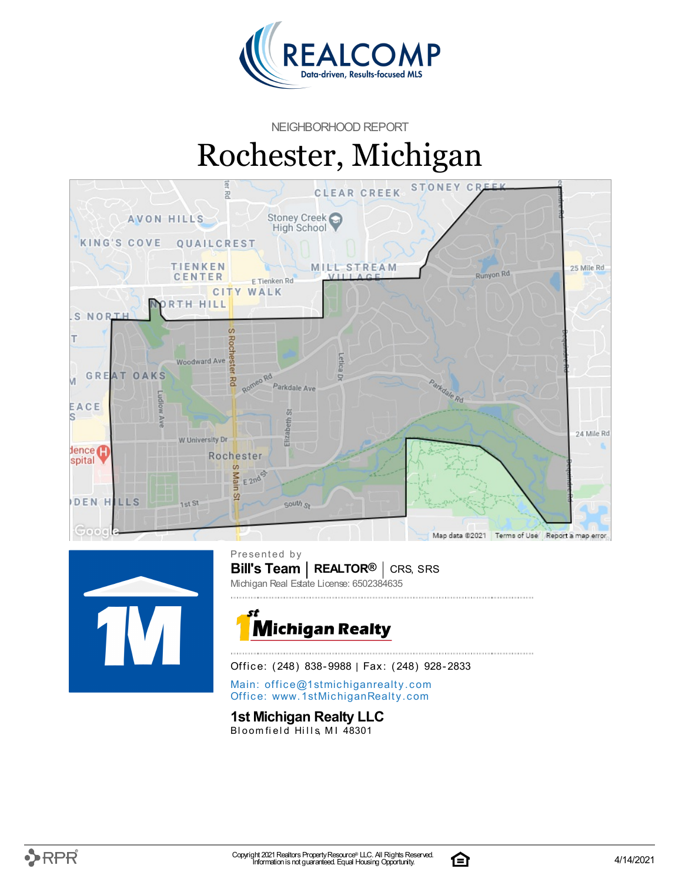

NEIGHBORHOOD REPORT

# Rochester, Michigan





**Bill's Team** | **REALTOR<sup>®</sup>** | CRS, SRS Presented by Michigan Real Estate License: 6502384635



Office: (248) 838-9988 | Fax: (248) 928-2833

Main: o[ffi](mailto:office@1stmichiganrealty.com)ce@1stmichiganrealty.com Office: [www.](https://www.1stmichiganrealty.com/)1stMichiganRealty.com

#### **1st Michigan Realty LLC**

Bloomfield Hills, MI 48301



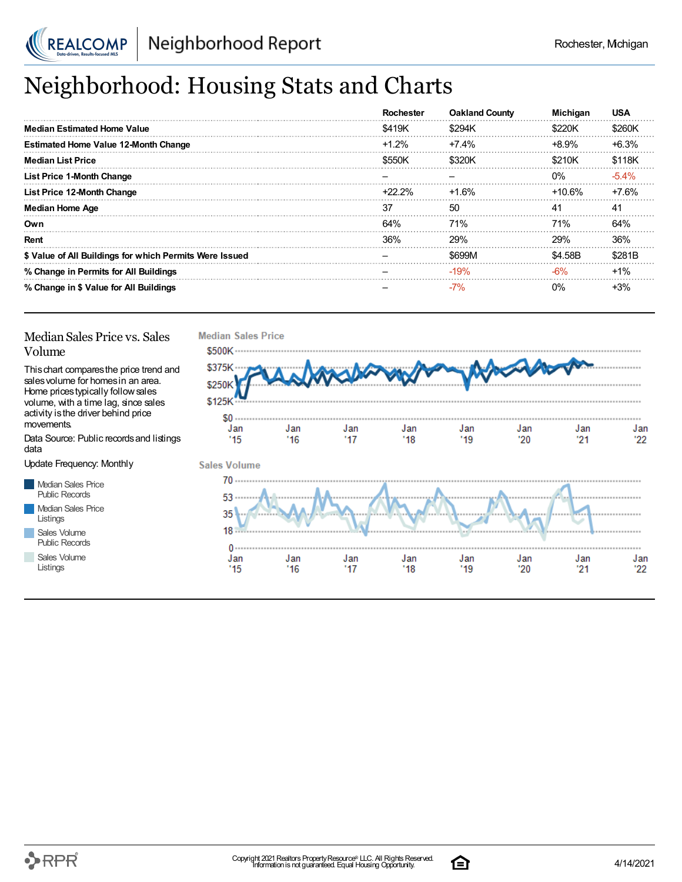

## Neighborhood: Housing Stats and Charts

|                                                         | Rochester | <b>Oakland County</b> | <b>Michigan</b> | <b>USA</b> |
|---------------------------------------------------------|-----------|-----------------------|-----------------|------------|
| <b>Median Estimated Home Value</b>                      | \$419K    | \$294K                | \$220K          | \$260K     |
| <b>Estimated Home Value 12-Month Change</b>             | $+1.2%$   | $+7.4%$               | $+8.9%$         | $+6.3%$    |
| <b>Median List Price</b>                                | \$550K    | \$320K                | \$210K          | \$118K     |
| <b>List Price 1-Month Change</b>                        |           |                       | $0\%$           | $-5.4\%$   |
| List Price 12-Month Change                              | $+22.2\%$ | $+1.6%$               | +10.6%          | +7.6%      |
| <b>Median Home Age</b>                                  | 37        | -50                   | 41              | 41         |
| Own                                                     | 64%       | 71%                   | 71%             | 64%        |
| Rent                                                    | 36%       | <b>29%</b>            | 29%             | 36%        |
| \$ Value of All Buildings for which Permits Were Issued |           | \$699M                | \$4.58B         | \$281B     |
| % Change in Permits for All Buildings                   |           | $-19%$                | -6%             | $+1%$      |
| % Change in \$ Value for All Buildings                  |           | $-7\%$                | 0%              | $+3%$      |

#### Median Sales Price vs. Sales Volume

Thischart comparesthe price trend and salesvolume for homesin an area. Home pricestypically followsales volume, with a time lag, since sales activity is the driver behind price movements.

Data Source: Public recordsand listings data

Update Frequency: Monthly

Median Sales Price Public Records Median Sales Price Listings Sales Volume Public Records

Sales Volume

Listings





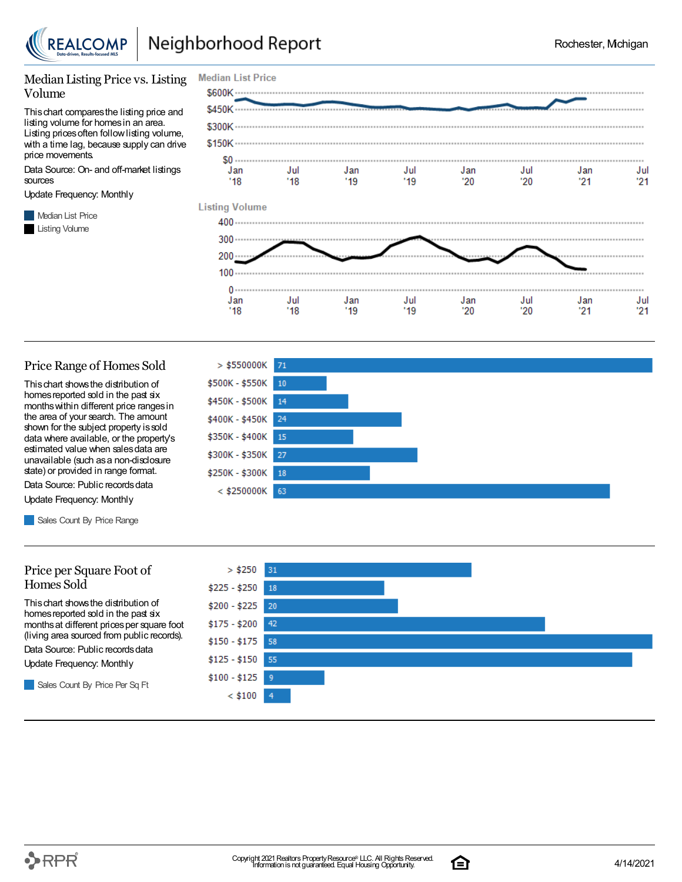

#### Median Listing Price vs. Listing Volume

Thischart comparesthe listing price and listing volume for homesin an area. Listing prices often follow listing volume, with a time lag, because supply can drive price movements.

Data Source: On- and off-market listings sources

Update Frequency: Monthly

**Median List Price** Listing Volume



#### Price Range of Homes Sold

Thischart showsthe distribution of homes reported sold in the past six monthswithin different price rangesin the area of your search. The amount shown for the subject property is sold data where available, or the property's estimated value when salesdata are unavailable (such asa non-disclosure state) or provided in range format.

Data Source: Public records data Update Frequency: Monthly

Sales Count By Price Range

#### Price per Square Foot of Homes Sold

Thischart showsthe distribution of homes reported sold in the past six monthsat different pricesper square foot (living area sourced from public records).

Data Source: Public records data

Update Frequency: Monthly

Sales Count By Price Per Sq Ft

![](_page_2_Figure_18.jpeg)

![](_page_2_Figure_19.jpeg)

![](_page_2_Picture_22.jpeg)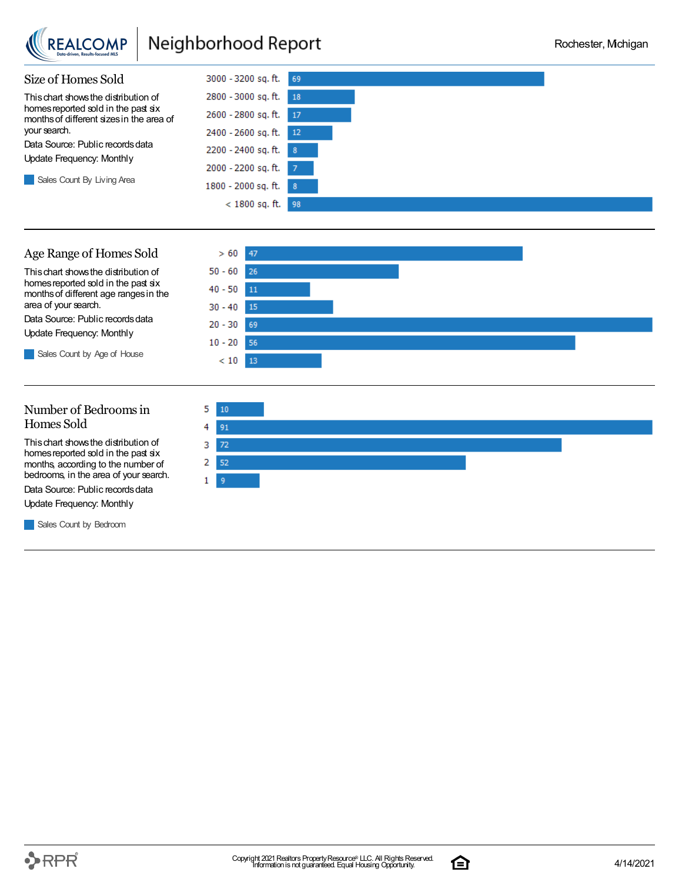![](_page_3_Picture_0.jpeg)

## Neighborhood Report

![](_page_3_Figure_3.jpeg)

#### Age Range of Homes Sold

Thischart showsthe distribution of homes reported sold in the past six monthsof different age rangesin the area of your search.

Data Source: Public records data Update Frequency: Monthly

Sales Count by Age of House

![](_page_3_Figure_8.jpeg)

#### Number of Bedroomsin Homes Sold

Thischart showsthe distribution of homes reported sold in the past six months, according to the number of bedrooms, in the area of your search.

Data Source: Public records data

Update Frequency: Monthly

Sales Count by Bedroom

![](_page_3_Figure_14.jpeg)

![](_page_3_Picture_17.jpeg)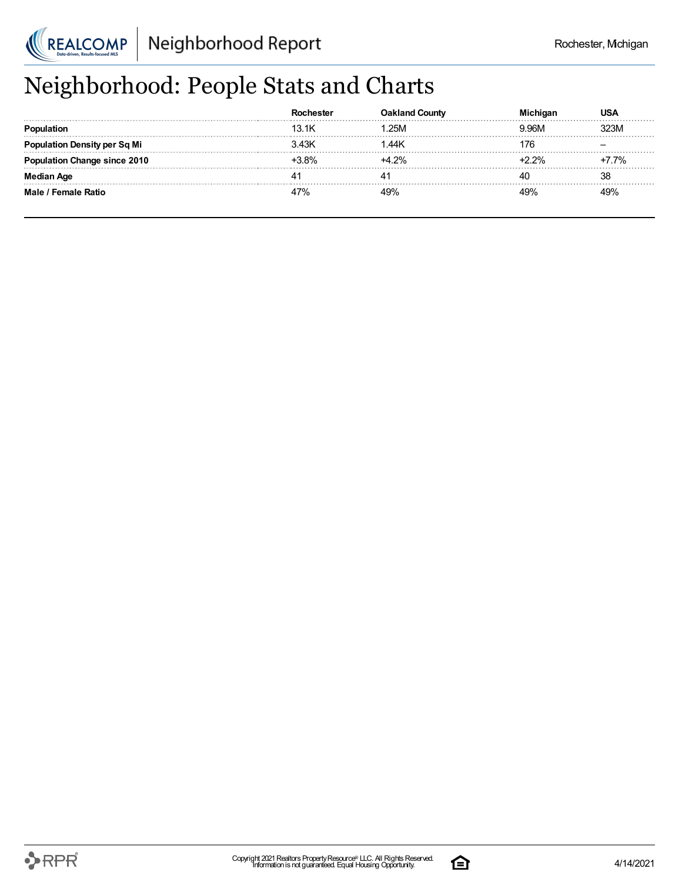![](_page_4_Picture_0.jpeg)

# Neighborhood: People Stats and Charts

|                                 |         | <b>Oakland County</b> |      |
|---------------------------------|---------|-----------------------|------|
|                                 | 13 1K   | .25M                  |      |
| <b>tion Density per Sq Mi</b>   |         | .44K                  |      |
| <b>'ation Change since 2010</b> | $+3.8%$ | $+4.2%$               | 7.7% |
| an Aqe                          |         |                       | 38   |
| Male / Female Ratio             |         |                       |      |

![](_page_4_Picture_7.jpeg)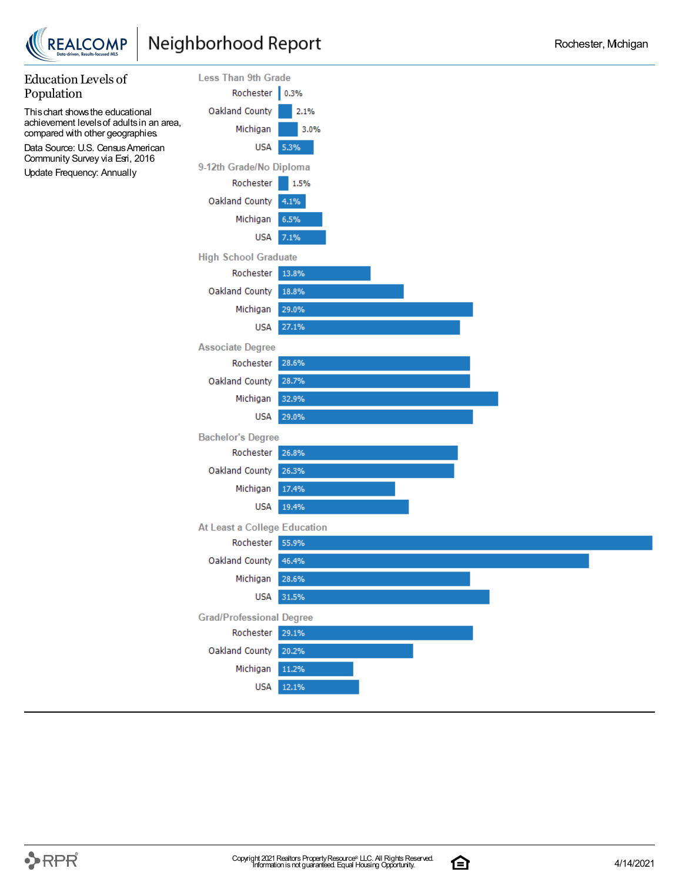![](_page_5_Picture_0.jpeg)

![](_page_5_Figure_3.jpeg)

![](_page_5_Picture_6.jpeg)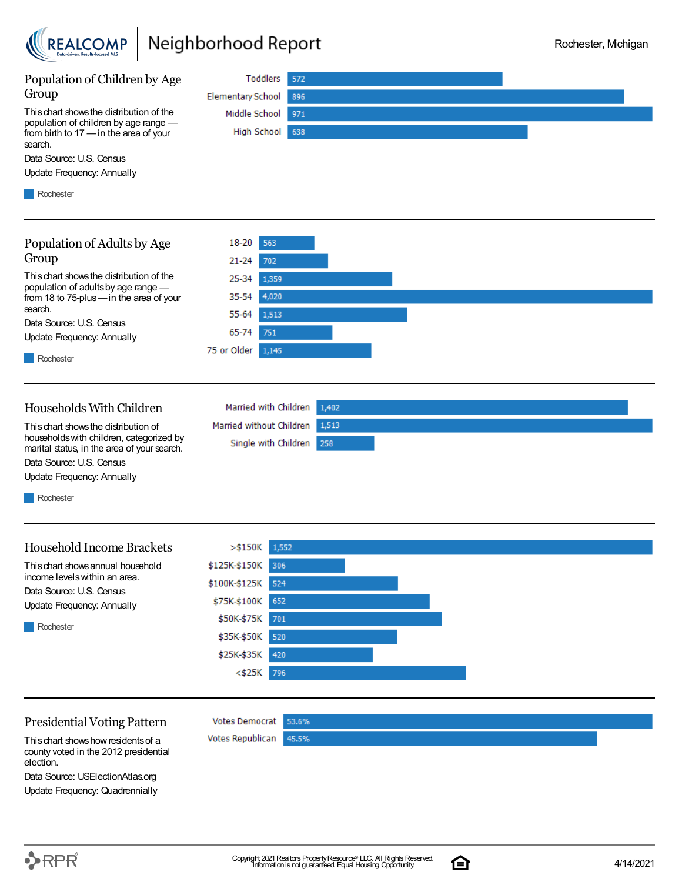![](_page_6_Picture_0.jpeg)

## Neighborhood Report

![](_page_6_Figure_3.jpeg)

Presidential Voting Pattern

Votes Democrat 53.6% Votes Republican 45.5%

\$25K-\$35K

<\$25K

420

796

Thischart showshowresidentsof a county voted in the 2012 presidential election.

Data Source: USElectionAtlas.org Update Frequency: Quadrennially

![](_page_6_Picture_10.jpeg)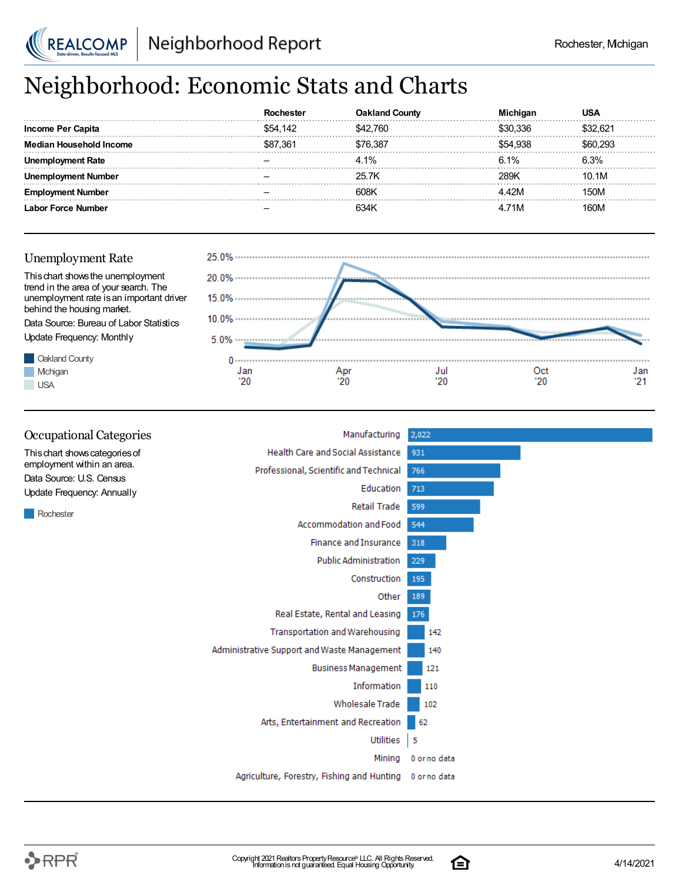![](_page_7_Picture_0.jpeg)

## Neighborhood: Economic Stats and Charts

| Income Per Capita  | \$54.142 | 42.760 | 0.336  |       |
|--------------------|----------|--------|--------|-------|
| usehold Income     | \$87.361 | 76.387 | 54.938 |       |
| Rate               |          | 4.1%   | 6.1%   | ና 3%  |
| Number             |          | 25 7K  |        | 10.1M |
|                    |          | 608K   | 12M    |       |
| <b>Anne Number</b> |          |        | 71M    |       |

![](_page_7_Figure_5.jpeg)

![](_page_7_Figure_6.jpeg)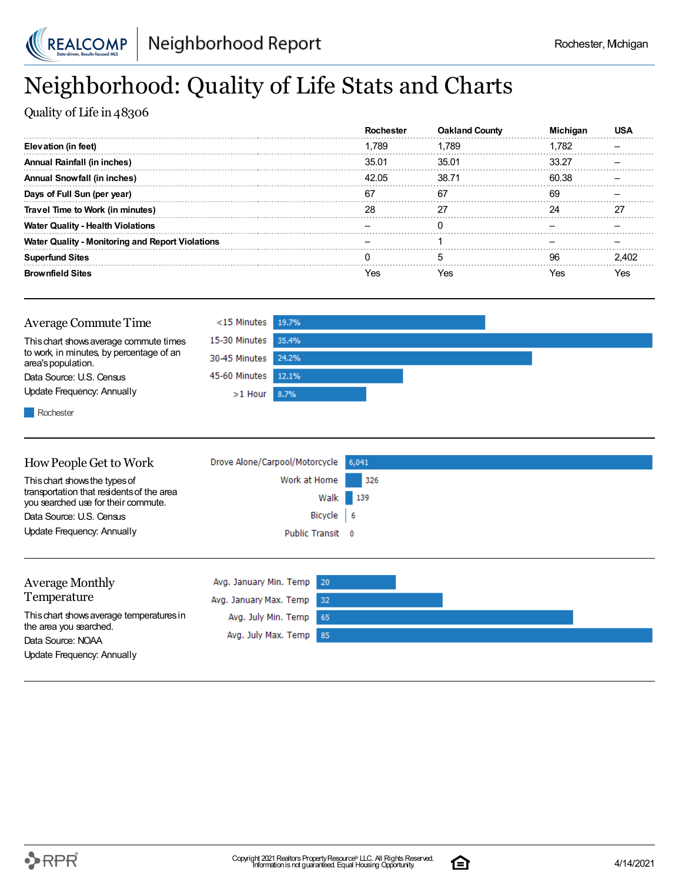![](_page_8_Picture_0.jpeg)

## Neighborhood: Quality of Life Stats and Charts

Quality of Life in 48306

|                                                         |       | <b>Oakland County</b> |       |  |
|---------------------------------------------------------|-------|-----------------------|-------|--|
| Elevation (in feet)                                     | 1.789 | .789                  | ∣.782 |  |
| Annual Rainfall (in inches)                             | 35.01 | 35.01                 | 33.27 |  |
| <b>Annual Snowfall (in inches)</b>                      | 42.05 | 38.71                 | 60.38 |  |
| Days of Full Sun (per year)                             | 67    | 67                    | 69    |  |
| Travel Time to Work (in minutes)                        |       |                       |       |  |
| <b>Water Quality - Health Violations</b>                |       |                       |       |  |
| <b>Water Quality - Monitoring and Report Violations</b> |       |                       |       |  |
| <b>Superfund Sites</b>                                  |       |                       | ۹R    |  |
| <b>Brownfield Sites</b>                                 | es?   |                       |       |  |

![](_page_8_Figure_6.jpeg)

**Rochester** 

| How People Get to Work                                                           | Drove Alone/Carpool/Motorcycle 6,041 |          |
|----------------------------------------------------------------------------------|--------------------------------------|----------|
| This chart shows the types of                                                    | Work at Home                         | 326      |
| transportation that residents of the area<br>you searched use for their commute. |                                      | Walk 139 |
| Data Source: U.S. Census                                                         | Bicycle 6                            |          |
| Update Frequency: Annually                                                       | Public Transit 0                     |          |
|                                                                                  |                                      |          |
|                                                                                  |                                      |          |

| Average Monthly                             | Avg. January Min. Temp 20 |  |
|---------------------------------------------|---------------------------|--|
| Temperature                                 | Avg. January Max. Temp 32 |  |
| This chart shows average temperatures in    | Avg. July Min. Temp 65    |  |
| the area you searched.<br>Data Source: NOAA | Avg. July Max. Temp 85    |  |
| Update Frequency: Annually                  |                           |  |

![](_page_8_Picture_12.jpeg)